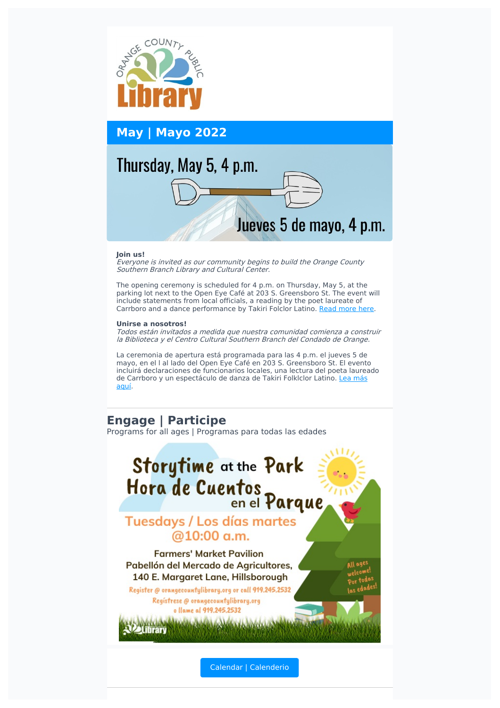

**May | Mayo 2022**

# Thursday, May 5, 4 p.m.

# Jueves 5 de mayo, 4 p.m.

#### **Join us!**

Everyone is invited as our community begins to build the Orange County Southern Branch Library and Cultural Center.

The opening ceremony is scheduled for 4 p.m. on Thursday, May 5, at the parking lot next to the Open Eye Café at 203 S. Greensboro St. The event will include statements from local officials, a reading by the poet laureate of Carrboro and a dance performance by Takiri Folclor Latino. Read [more](http://www.townofcarrboro.org/CivicAlerts.aspx?AID=2119) here.

#### **Unirse a nosotros!**

Todos están invitados <sup>a</sup> medida que nuestra comunidad comienza <sup>a</sup> construir la Biblioteca y el Centro Cultural Southern Branch del Condado de Orange.

La ceremonia de apertura está programada para las 4 p.m. el jueves 5 de mayo, en el l al lado del Open Eye Café en 203 S. Greensboro St. El evento incluirá declaraciones de funcionarios locales, una lectura del poeta laureado de Carrboro y un [espectáculo](http://www.townofcarrboro.org/CivicAlerts.aspx?AID=2119) de danza de Takiri Folklclor Latino. Lea más aquí.

# **Engage | Participe**

Programs for all ages | Programas para todas las edades



Calendar | [Calenderio](https://orangecountync.librarycalendar.com/events/month)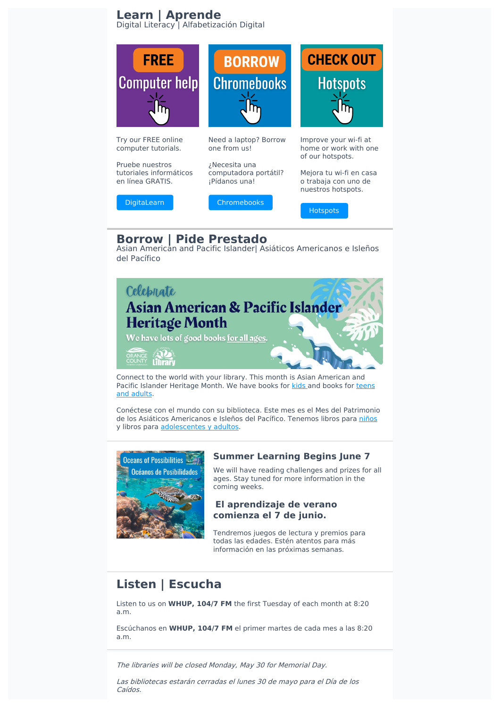## **Learn | Aprende** Digital Literacy | Alfabetización Digital



# **Borrow | Pide Prestado**

Asian American and Pacific Islander| Asiáticos Americanos e Isleños del Pacífico



Connect to the world with your library. This month is Asian American and Pacific Islander [Heritage](https://library.orangecountync.gov/iii/encore/search/C__Sats_asian_pacificislander_authors__Orightresult__U?lang=eng&suite=cobalt) Month. We have books for [kids](https://library.orangecountync.gov/iii/encore/search/C__Sys_asian%20and%20pacific%20islander%20characters__Orightresult__U?lang=eng&suite=cobalt) and books for teens and adults.

Conéctese con el mundo con su biblioteca. Este mes es el Mes del Patrimonio de los Asiáticos Americanos e Isleños del Pacífico. Tenemos libros para [niños](https://library.orangecountync.gov/iii/encore/search/C__Sys_asian%20and%20pacific%20islander%20characters__Orightresult__U?lang=eng&suite=cobalt) y libros para [adolescentes](https://library.orangecountync.gov/iii/encore/search/C__Sats_asian_pacificislander_authors__Orightresult__U?lang=eng&suite=cobalt) y adultos.



# **Summer Learning Begins June 7**

We will have reading challenges and prizes for all ages. Stay tuned for more information in the coming weeks.

# **El aprendizaje de verano comienza el 7 de junio.**

Tendremos juegos de lectura y premios para todas las edades. Estén atentos para más información en las próximas semanas.

# **Listen | Escucha**

Listen to us on **WHUP, 104/7 FM** the first Tuesday of each month at 8:20 a.m.

Escúchanos en **WHUP, 104/7 FM** el primer martes de cada mes a las 8:20 a.m.

The libraries will be closed Monday, May 30 for Memorial Day.

Las bibliotecas estarán cerradas el lunes 30 de mayo para el Día de los Caídos.